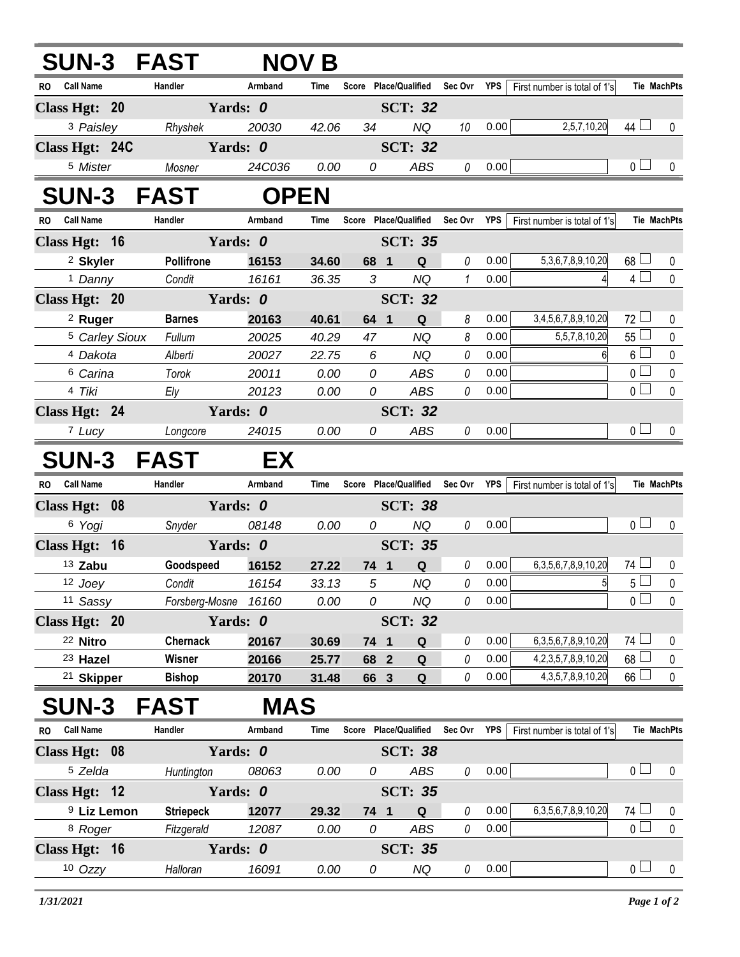| <b>SUN-3 FAST</b>             |                      |                          | <b>NOV B</b>   |                |                               |          |            |                              |                 |                    |
|-------------------------------|----------------------|--------------------------|----------------|----------------|-------------------------------|----------|------------|------------------------------|-----------------|--------------------|
| <b>Call Name</b><br>RO.       | Handler              | Armband                  | Time           |                | Score Place/Qualified         | Sec Ovr  | YPS        | First number is total of 1's | Tie MachPts     |                    |
| Class Hgt: 20                 | Yards: 0             |                          |                |                | <b>SCT: 32</b>                |          |            |                              |                 |                    |
| <sup>3</sup> Paisley          | Rhyshek              | 20030                    | 42.06          | 34             | <b>NQ</b>                     | 10       | 0.00       | 2,5,7,10,20                  | 44 $\Box$       | 0                  |
| Class Hgt: 24C                | Yards: 0             |                          |                |                | <b>SCT: 32</b>                |          |            |                              |                 |                    |
| <sup>5</sup> Mister           | Mosner               | 24C036                   | 0.00           | 0              | ABS                           | 0        | 0.00       |                              | 0 <sub>1</sub>  | $\mathbf{0}$       |
| <b>SUN-3 FAST</b>             |                      | <b>OPEN</b>              |                |                |                               |          |            |                              |                 |                    |
| RO Call Name                  | Handler              | Armband                  | Time           |                | Score Place/Qualified Sec Ovr |          | YPS        | First number is total of 1's | Tie MachPts     |                    |
| Class Hgt: 16                 | Yards: 0             |                          |                |                | <b>SCT: 35</b>                |          |            |                              |                 |                    |
| <sup>2</sup> Skyler           | Pollifrone           | 16153                    | 34.60          | 68 1           | Q                             | 0        | 0.00       | 5, 3, 6, 7, 8, 9, 10, 20     | $68 \Box$       | 0                  |
| <sup>1</sup> Danny            | Condit               | 16161                    | 36.35          | 3              | <b>NQ</b>                     | 1        | 0.00       | 4                            | $4\Box$         | $\mathbf 0$        |
| Class Hgt: 20                 | Yards: 0             |                          | <b>SCT: 32</b> |                |                               |          |            |                              |                 |                    |
| <sup>2</sup> Ruger            | <b>Barnes</b>        | 20163                    | 40.61          | 64 1           | Q                             | 8        | 0.00       | 3,4,5,6,7,8,9,10,20          | $72 \Box$       | 0                  |
| <sup>5</sup> Carley Sioux     | Fullum               | 20025                    | 40.29          | 47             | <b>NQ</b>                     | 8        | 0.00       | 5,5,7,8,10,20                | $55 \Box$       | $\pmb{0}$          |
| <sup>4</sup> Dakota           | Alberti              | 20027                    | 22.75          | 6              | NQ                            | 0        | 0.00       | 61                           | $6\sqcup$       | $\pmb{0}$          |
| 6 Carina                      | Torok                | 20011                    | 0.00           | 0              | <b>ABS</b>                    | 0        | 0.00       |                              | $\overline{0}$  | $\pmb{0}$          |
| 4 Tiki                        | Ely                  | 20123                    | 0.00           | 0              | <b>ABS</b>                    | 0        | 0.00       |                              | 0 <sub>1</sub>  | $\mathbf 0$        |
| Class Hgt: 24                 | Yards: 0             |                          |                |                | <b>SCT: 32</b>                |          |            |                              |                 |                    |
| 7 Lucy                        | Longcore             | 24015                    | 0.00           | 0              | <b>ABS</b>                    | 0        | 0.00       |                              | 0 <sub>1</sub>  | 0                  |
| <b>SUN-3 FAST</b>             |                      | EX                       |                |                |                               |          |            |                              |                 |                    |
| <b>Call Name</b><br><b>RO</b> | Handler              | Armband<br>Time<br>Score |                |                | <b>Place/Qualified</b>        | Sec Ovr  | <b>YPS</b> | First number is total of 1's |                 | <b>Tie MachPts</b> |
| Class Hgt: 08                 | Yards: 0             |                          |                |                | <b>SCT: 38</b>                |          |            |                              |                 |                    |
| 6 Yogi                        | Snyder               | 08148                    | 0.00           | 0              | <b>NQ</b>                     | 0        | 0.00       |                              | 0 <sub>0</sub>  | $\mathbf{0}$       |
| Class Hgt: 16                 | Yards: 0             |                          |                |                | <b>SCT: 35</b>                |          |            |                              |                 |                    |
| 13 Zabu                       | Goodspeed            | 16152                    | 27.22          | 74 1           | Q                             | 0        | 0.00       | 6, 3, 5, 6, 7, 8, 9, 10, 20  | 74 L            | $\mathbf 0$        |
| 12 Joey                       | Condit               | 16154                    | 33.13          | 5              | <b>NQ</b>                     | 0        | 0.00       | $\overline{5}$               | $5\Box$         | $\mathbf 0$        |
| 11 Sassy                      | Forsberg-Mosne 16160 |                          | 0.00           | 0              | <b>NQ</b>                     | 0        | 0.00       |                              | $\overline{0}$  | 0                  |
| Class Hgt: 20                 | Yards: 0             |                          |                |                | <b>SCT: 32</b>                |          |            |                              |                 |                    |
| <sup>22</sup> Nitro           | <b>Chernack</b>      | 20167                    | 30.69          | 74 1           | Q                             | 0        | 0.00       | 6, 3, 5, 6, 7, 8, 9, 10, 20  | $74 \Box$       | 0                  |
| <sup>23</sup> Hazel           | Wisner               | 20166                    | 25.77          | 68 2           | Q                             | 0        | 0.00       | 4, 2, 3, 5, 7, 8, 9, 10, 20  | 68 <sup>1</sup> | 0                  |
| <sup>21</sup> Skipper         | <b>Bishop</b>        | 20170                    | 31.48          | 66 3           | $\mathbf Q$                   | 0        | 0.00       | 4, 3, 5, 7, 8, 9, 10, 20     | $66$ $\Box$     | $\mathbf 0$        |
| <b>SUN-3</b>                  | <b>FAST</b>          | <b>MAS</b>               |                |                |                               |          |            |                              |                 |                    |
| <b>Call Name</b><br><b>RO</b> | Handler              | Armband                  | Time           |                | Score Place/Qualified         | Sec Ovr  | <b>YPS</b> | First number is total of 1's | Tie MachPts     |                    |
| Class Hgt: 08                 | Yards: 0             |                          |                |                | <b>SCT: 38</b>                |          |            |                              |                 |                    |
| <sup>5</sup> Zelda            | Huntington           | 08063                    | 0.00           | 0              | ABS                           | $\it{0}$ | 0.00       |                              | 0 <sub>0</sub>  | $\mathbf 0$        |
| Class Hgt: 12                 | Yards: 0             |                          |                |                | <b>SCT: 35</b>                |          |            |                              |                 |                    |
| <sup>9</sup> Liz Lemon        | <b>Striepeck</b>     | 12077                    | 29.32          | 74 1           | Q                             | 0        | 0.00       | 6, 3, 5, 6, 7, 8, 9, 10, 20  | $74 \Box$       | 0                  |
| <sup>8</sup> Roger            | Fitzgerald           | 12087                    | 0.00           | 0              | ABS                           | 0        | 0.00       |                              | $\overline{0}$  | $\mathbf 0$        |
| Class Hgt: 16                 |                      | Yards: 0                 |                | <b>SCT: 35</b> |                               |          |            |                              |                 |                    |
| 10 Ozzy                       | Halloran             | 16091                    | 0.00           | 0              | NQ                            | 0        | 0.00       |                              | 0 <sub>1</sub>  | $\mathbf 0$        |